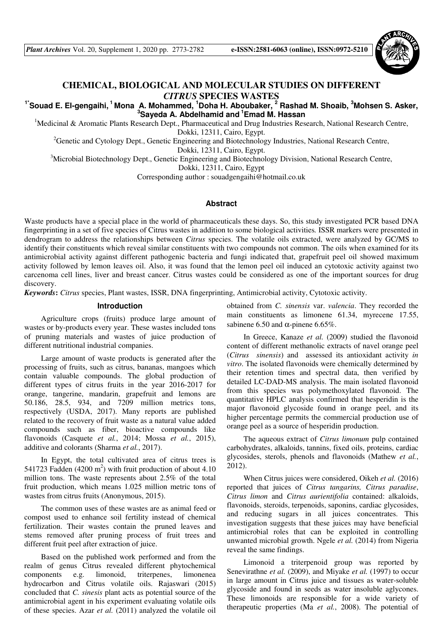*Plant Archives* Vol. 20, Supplement 1, 2020 pp. 2773-2782 **e-ISSN:2581-6063 (online), ISSN:0972-5210**



# **CHEMICAL, BIOLOGICAL AND MOLECULAR STUDIES ON DIFFERENT** *CITRUS* **SPECIES WASTES**

## **1\*Souad E. El-gengaihi,<sup>1</sup>Mona A. Mohammed, <sup>1</sup>Doha H. Aboubaker, <sup>2</sup> Rashad M. Shoaib, <sup>3</sup>Mohsen S. Asker, <sup>3</sup>Sayeda A. Abdelhamid and<sup>1</sup>Emad M. Hassan**

<sup>1</sup>Medicinal & Aromatic Plants Research Dept., Pharmaceutical and Drug Industries Research, National Research Centre, Dokki, 12311, Cairo, Egypt.

<sup>2</sup>Genetic and Cytology Dept., Genetic Engineering and Biotechnology Industries, National Research Centre, Dokki, 12311, Cairo, Egypt.

<sup>3</sup>Microbial Biotechnology Dept., Genetic Engineering and Biotechnology Division, National Research Centre,

Dokki, 12311, Cairo, Egypt

Corresponding author : souadgengaihi@hotmail.co.uk

## **Abstract**

Waste products have a special place in the world of pharmaceuticals these days. So, this study investigated PCR based DNA fingerprinting in a set of five species of Citrus wastes in addition to some biological activities*.* ISSR markers were presented in dendrogram to address the relationships between *Citrus* species. The volatile oils extracted, were analyzed by GC/MS to identify their constituents which reveal similar constituents with two compounds not common. The oils when examined for its antimicrobial activity against different pathogenic bacteria and fungi indicated that, grapefruit peel oil showed maximum activity followed by lemon leaves oil. Also, it was found that the lemon peel oil induced an cytotoxic activity against two carcenoma cell lines, liver and breast cancer. Citrus wastes could be considered as one of the important sources for drug discovery.

*Keywords***:** *Citrus* species, Plant wastes, ISSR, DNA fingerprinting, Antimicrobial activity, Cytotoxic activity.

## **Introduction**

Agriculture crops (fruits) produce large amount of wastes or by-products every year. These wastes included tons of pruning materials and wastes of juice production of different nutritional industrial companies.

Large amount of waste products is generated after the processing of fruits, such as citrus, bananas, mangoes which contain valuable compounds. The global production of different types of citrus fruits in the year 2016-2017 for orange, tangerine, mandarin, grapefruit and lemons are 50.186, 28.5, 934, and 7209 million metrics tons, respectively (USDA, 2017). Many reports are published related to the recovery of fruit waste as a natural value added compounds such as fiber, bioactive compounds like flavonoids (Casquete *et al.*, 2014; Mossa *et al.*, 2015), additive and colorants (Sharma *et al.*, 2017).

In Egypt, the total cultivated area of citrus trees is 541723 Fadden  $(4200 \text{ m}^2)$  with fruit production of about 4.10 million tons. The waste represents about 2.5% of the total fruit production, which means 1.025 million metric tons of wastes from citrus fruits (Anonymous, 2015).

The common uses of these wastes are as animal feed or compost used to enhance soil fertility instead of chemical fertilization. Their wastes contain the pruned leaves and stems removed after pruning process of fruit trees and different fruit peel after extraction of juice.

Based on the published work performed and from the realm of genus Citrus revealed different phytochemical components e.g. limonoid, triterpenes, limonenea hydrocarbon and Citrus volatile oils. Rajaswari (2015) concluded that *C. sinesis* plant acts as potential source of the antimicrobial agent in his experiment evaluating volatile oils of these species. Azar *et al.* (2011) analyzed the volatile oil obtained from *C. sinensis* var. *valencia*. They recorded the main constituents as limonene 61.34, myrecene 17.55, sabinene 6.50 and  $\alpha$ -pinene 6.65%.

In Greece, Kanaze *et al.* (2009) studied the flavonoid content of different methanolic extracts of navel orange peel (*Citrus sinensis*) and assessed its antioxidant activity *in vitro*. The isolated flavonoids were chemically determined by their retention times and spectral data, then verified by detailed LC-DAD-MS analysis. The main isolated flavonoid from this species was polymethoxylated flavonoid. The quantitative HPLC analysis confirmed that hesperidin is the major flavonoid glycoside found in orange peel, and its higher percentage permits the commercial production use of orange peel as a source of hesperidin production.

The aqueous extract of *Citrus limonum* pulp contained carbohydrates, alkaloids, tannins, fixed oils, proteins, cardiac glycosides, sterols, phenols and flavonoids (Mathew *et al.*, 2012).

When Citrus juices were considered, Oikeh *et al.* (2016) reported that juices of *Citrus tangarins, Citrus paradise*, *Citrus limon* and *Citrus aurientifolia* contained: alkaloids, flavonoids, steroids, terpenoids, saponins, cardiac glycosides, and reducing sugars in all juices concentrates. This investigation suggests that these juices may have beneficial antimicrobial roles that can be exploited in controlling unwanted microbial growth. Ngele *et al.* (2014) from Nigeria reveal the same findings.

Limonoid a triterpenoid group was reported by Senevirathne *et al.* (2009), and Miyake *et al.* (1997) to occur in large amount in Citrus juice and tissues as water-soluble glycoside and found in seeds as water insoluble aglycones. These limonoids are responsible for a wide variety of therapeutic properties (Ma *et al.*, 2008). The potential of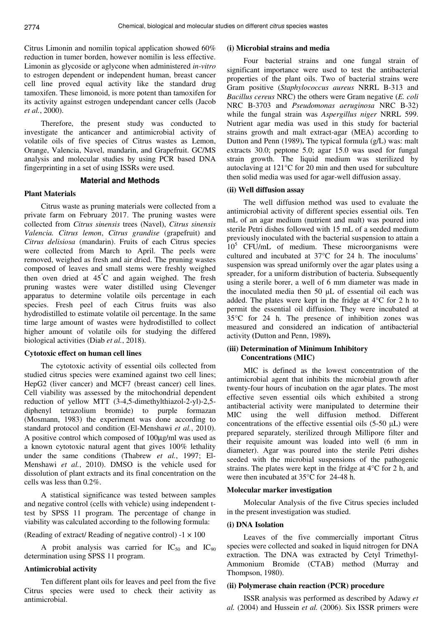Citrus Limonin and nomilin topical application showed 60% reduction in tumer borden, however nomilin is less effective. Limonin as glycoside or aglycone when administered *in-vitro* to estrogen dependent or independent human, breast cancer cell line proved equal activity like the standard drug tamoxifen. These limonoid, is more potent than tamoxifen for its activity against estrogen undependant cancer cells (Jacob *et al.*, 2000).

Therefore, the present study was conducted to investigate the anticancer and antimicrobial activity of volatile oils of five species of Citrus wastes as Lemon, Orange, Valencia, Navel, mandarin, and Grapefruit. GC/MS analysis and molecular studies by using PCR based DNA fingerprinting in a set of using ISSRs were used.

#### **Material and Methods**

#### **Plant Materials**

Citrus waste as pruning materials were collected from a private farm on February 2017. The pruning wastes were collected from *Citrus sinensis* trees (Navel), *Citrus sinensis Valencia. Citrus lemon*, *Citrus grandise* (grapefruit) and *Citrus delisiosa* (mandarin). Fruits of each Citrus species were collected from March to April. The peels were removed, weighed as fresh and air dried. The pruning wastes composed of leaves and small stems were freshly weighed then oven dried at 45°C and again weighed. The fresh pruning wastes were water distilled using Clevenger apparatus to determine volatile oils percentage in each species. Fresh peel of each Citrus fruits was also hydrodistilled to estimate volatile oil percentage. In the same time large amount of wastes were hydrodistilled to collect higher amount of volatile oils for studying the differed biological activities (Diab *et al.*, 2018).

#### **Cytotoxic effect on human cell lines**

The cytotoxic activity of essential oils collected from studied citrus species were examined against two cell lines; HepG2 (liver cancer) and MCF7 (breast cancer) cell lines. Cell viability was assessed by the mitochondrial dependent reduction of yellow MTT (3-4,5-dimethylthiazol-2-yl)-2,5 diphenyl tetrazolium bromide) to purple formazan (Mosmann, 1983) the experiment was done according to standard protocol and condition (El-Menshawi *et al.*, 2010). A positive control which composed of 100µg/ml was used as a known cytotoxic natural agent that gives 100% lethality under the same conditions (Thabrew *et al.*, 1997; El-Menshawi *et al.*, 2010). DMSO is the vehicle used for dissolution of plant extracts and its final concentration on the cells was less than 0.2%.

A statistical significance was tested between samples and negative control (cells with vehicle) using independent ttest by SPSS 11 program. The percentage of change in viability was calculated according to the following formula:

(Reading of extract/ Reading of negative control)  $-1 \times 100$ 

A probit analysis was carried for  $IC_{50}$  and  $IC_{90}$ determination using SPSS 11 program.

## **Antimicrobial activity**

Ten different plant oils for leaves and peel from the five Citrus species were used to check their activity as antimicrobial.

#### **(i) Microbial strains and media**

Four bacterial strains and one fungal strain of significant importance were used to test the antibacterial properties of the plant oils. Two of bacterial strains were Gram positive (*Staphylococcus aureus* NRRL B-313 and *Bacillus cereus* NRC) the others were Gram negative (*E. coli* NRC B-3703 and *Pseudomonas aeruginosa* NRC B-32) while the fungal strain was *Aspergillus niger* NRRL 599. Nutrient agar media was used in this study for bacterial strains growth and malt extract-agar (MEA) according to Dutton and Penn (1989)**.** The typical formula (g/L) was: malt extracts 30.0; peptone 5.0; agar 15.0 was used for fungal strain growth. The liquid medium was sterilized by autoclaving at 121°C for 20 min and then used for subculture then solid media was used for agar-well diffusion assay.

#### **(ii) Well diffusion assay**

The well diffusion method was used to evaluate the antimicrobial activity of different species essential oils. Ten mL of an agar medium (nutrient and malt) was poured into sterile Petri dishes followed with 15 mL of a seeded medium previously inoculated with the bacterial suspension to attain a 10<sup>5</sup> CFU/mL of medium. These microorganisms were cultured and incubated at 37°C for 24 h. The inoculums' suspension was spread uniformly over the agar plates using a spreader, for a uniform distribution of bacteria. Subsequently using a sterile borer, a well of 6 mm diameter was made in the inoculated media then 50 µL of essential oil each was added. The plates were kept in the fridge at 4°C for 2 h to permit the essential oil diffusion. They were incubated at 35°C for 24 h. The presence of inhibition zones was measured and considered an indication of antibacterial activity **(**Dutton and Penn, 1989**).**

## **(iii) Determination of Minimum Inhibitory Concentrations (MIC)**

MIC is defined as the lowest concentration of the antimicrobial agent that inhibits the microbial growth after twenty-four hours of incubation on the agar plates. The most effective seven essential oils which exhibited a strong antibacterial activity were manipulated to determine their MIC using the well diffusion method. Different concentrations of the effective essential oils (5-50 µL) were prepared separately, sterilized through Millipore filter and their requisite amount was loaded into well (6 mm in diameter). Agar was poured into the sterile Petri dishes seeded with the microbial suspensions of the pathogenic strains. The plates were kept in the fridge at 4°C for 2 h, and were then incubated at 35°C for 24-48 h.

#### **Molecular marker investigation**

Molecular Analysis of the five Citrus species included in the present investigation was studied.

## **(i) DNA Isolation**

Leaves of the five commercially important Citrus species were collected and soaked in liquid nitrogen for DNA extraction. The DNA was extracted by Cetyl Trimethyl-Ammonium Bromide (CTAB) method (Murray and Thompson, 1980).

#### **(ii) Polymerase chain reaction (PCR) procedure**

ISSR analysis was performed as described by Adawy *et al.* (2004) and Hussein *et al.* (2006). Six ISSR primers were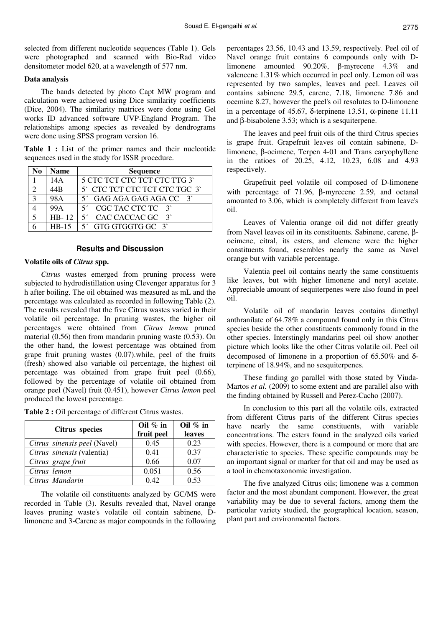selected from different nucleotide sequences (Table 1). Gels were photographed and scanned with Bio-Rad video densitometer model 620, at a wavelength of 577 nm.

#### **Data analysis**

The bands detected by photo Capt MW program and calculation were achieved using Dice similarity coefficients (Dice, 2004). The similarity matrices were done using Gel works ID advanced software UVP-England Program. The relationships among species as revealed by dendrograms were done using SPSS program version 16.

**Table 1 :** List of the primer names and their nucleotide sequences used in the study for ISSR procedure.

|                   | Name            | <b>Sequence</b>                  |  |  |  |  |  |  |
|-------------------|-----------------|----------------------------------|--|--|--|--|--|--|
|                   | 14A             | 5 CTC TCT CTC TCT CTC TTG 3      |  |  |  |  |  |  |
|                   | 44 <sub>R</sub> | 5 CTC TCT CTC TCT CTC TGC 3      |  |  |  |  |  |  |
| $\mathbf{\Omega}$ | 98A             | $5'$ GAG AGA GAG AGA CC $3'$     |  |  |  |  |  |  |
|                   | 99A             | $5'$ CGC TAC CTC TC $3'$         |  |  |  |  |  |  |
|                   |                 | HB-12 $\vert$ 5' CAC CACCAC GC 3 |  |  |  |  |  |  |
|                   | $HR-15$         | $5'$ GTG GTGGTG GC $3'$          |  |  |  |  |  |  |

### **Results and Discussion**

#### **Volatile oils of** *Citrus* **spp.**

*Citrus* wastes emerged from pruning process were subjected to hydrodistillation using Clevenger apparatus for 3 h after boiling. The oil obtained was measured as mL and the percentage was calculated as recorded in following Table (2). The results revealed that the five Citrus wastes varied in their volatile oil percentage. In pruning wastes, the higher oil percentages were obtained from *Citrus lemon* pruned material (0.56) then from mandarin pruning waste (0.53). On the other hand, the lowest percentage was obtained from grape fruit pruning wastes (0.07).while, peel of the fruits (fresh) showed also variable oil percentage, the highest oil percentage was obtained from grape fruit peel (0.66), followed by the percentage of volatile oil obtained from orange peel (Navel) fruit (0.451), however *Citrus lemon* peel produced the lowest percentage.

**Table 2 :** Oil percentage of different Citrus wastes.

|                              | Oil $%$ in | Oil $%$ in |  |
|------------------------------|------------|------------|--|
| Citrus species               | fruit peel | leaves     |  |
| Citrus sinensis peel (Navel) | 0.45       | 0.23       |  |
| Citrus sinensis (valentia)   | 0.41       | 0.37       |  |
| Citrus grape fruit           | 0.66       | 0.07       |  |
| Citrus lemon                 | 0.051      | 0.56       |  |
| Citrus Mandarin              | 0.42       | 0.53       |  |

The volatile oil constituents analyzed by GC/MS were recorded in Table (3). Results revealed that, Navel orange leaves pruning waste's volatile oil contain sabinene, Dlimonene and 3-Carene as major compounds in the following

percentages 23.56, 10.43 and 13.59, respectively. Peel oil of Navel orange fruit contains 6 compounds only with Dlimonene amounted 90.20%, β-myrecene 4.3% and valencene 1.31% which occurred in peel only. Lemon oil was represented by two samples, leaves and peel. Leaves oil contains sabinene 29.5, carene, 7.18, limonene 7.86 and ocemine 8.27, however the peel's oil resolutes to D-limonene in a percentage of 45.67, δ-terpinene 13.51, α-pinene 11.11 and β-bisabolene 3.53; which is a sesquiterpene.

The leaves and peel fruit oils of the third Citrus species is grape fruit. Grapefruit leaves oil contain sabinene, Dlimonene, β-ocimene, Terpen 4-01 and Trans caryophyllene in the ratioes of 20.25, 4.12, 10.23, 6.08 and 4.93 respectively.

Grapefruit peel volatile oil composed of D-limonene with percentage of 71.96, β-myrecene 2.59, and octanal amounted to 3.06, which is completely different from leave's oil.

Leaves of Valentia orange oil did not differ greatly from Navel leaves oil in its constituents. Sabinene, carene, βocimene, citral, its esters, and elemene were the higher constituents found, resembles nearly the same as Navel orange but with variable percentage.

Valentia peel oil contains nearly the same constituents like leaves, but with higher limonene and neryl acetate. Appreciable amount of sequiterpenes were also found in peel oil.

Volatile oil of mandarin leaves contains dimethyl anthranilate of 64.78% a compound found only in this Citrus species beside the other constituents commonly found in the other species. Interstingly mandarins peel oil show another picture which looks like the other Citrus volatile oil. Peel oil decomposed of limonene in a proportion of 65.50% and δterpinene of 18.94%, and no sesquiterpenes.

These finding go parallel with those stated by Viuda-Martos *et al.* (2009) to some extent and are parallel also with the finding obtained by Russell and Perez-Cacho (2007).

In conclusion to this part all the volatile oils, extracted from different Citrus parts of the different Citrus species have nearly the same constituents, with variable concentrations. The esters found in the analyzed oils varied with species. However, there is a compound or more that are characteristic to species. These specific compounds may be an important signal or marker for that oil and may be used as a tool in chemotaxonomic investigation.

The five analyzed Citrus oils; limonene was a common factor and the most abundant component. However, the great variability may be due to several factors, among them the particular variety studied, the geographical location, season, plant part and environmental factors.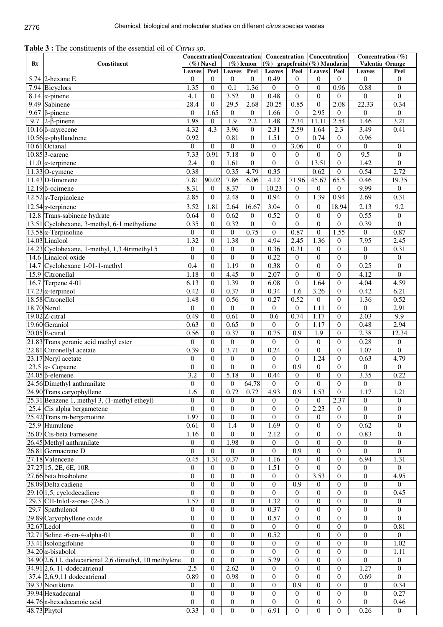| <b>Table 3 :</b> The constituents of the essential oil of <i>Citrus sp</i> . |  |  |
|------------------------------------------------------------------------------|--|--|
|------------------------------------------------------------------------------|--|--|

|    | Constituent                                            |                            | $(\%)$ Navel               |                            | $(\%)$ lemon         |                            | Concentration Concentration   Concentration   Concentration<br>$(\%)$ grapefruits $(\%)$ Mandarin |                                    |                                  | Concentration $(\%)$<br>Valentia Orange |                                    |
|----|--------------------------------------------------------|----------------------------|----------------------------|----------------------------|----------------------|----------------------------|---------------------------------------------------------------------------------------------------|------------------------------------|----------------------------------|-----------------------------------------|------------------------------------|
| Rt |                                                        |                            | Peel                       | Leaves                     | Peel                 | Leaves                     | Peel                                                                                              | <b>Leaves</b>                      | Peel                             | Leaves                                  | Peel                               |
|    | $5.74$ 2-hexane E                                      | <b>Leaves</b><br>$\theta$  | $\Omega$                   | $\theta$                   | $\theta$             | 0.49                       | $\overline{0}$                                                                                    | $\theta$                           | $\Omega$                         | $\overline{0}$                          | $\overline{0}$                     |
|    | 7.94 Bicyclors                                         | 1.35                       | $\mathbf{0}$               | 0.1                        | 1.36                 | $\theta$                   | $\overline{0}$                                                                                    | $\overline{0}$                     | 0.96                             | 0.88                                    | $\overline{0}$                     |
|    | 8.14 $\alpha$ -pinene                                  | 4.1                        | $\overline{0}$             | 3.52                       | $\Omega$             | 0.48                       | $\Omega$                                                                                          | $\overline{0}$                     | $\theta$                         | $\theta$                                | $\overline{0}$                     |
|    | 9.49 Sabinene                                          | 28.4                       | $\Omega$                   | 29.5                       | 2.68                 | $20.\overline{25}$         | 0.85                                                                                              | $\Omega$                           | 2.08                             | 22.33                                   | 0.34                               |
|    | 9.67 $\beta$ -pinene                                   | $\theta$                   | 1.65                       | $\theta$                   | $\mathbf{0}$         | 1.66                       | $\overline{0}$                                                                                    | 2.95                               | $\mathbf{0}$                     | $\theta$                                | $\boldsymbol{0}$                   |
|    | 9.7 $ 2-\beta$ -pinene                                 | 1.98                       | $\overline{0}$             | 1.9                        | 2.2                  | 1.48                       | 2.34                                                                                              | 11.11                              | 2.54                             | 1.46                                    | 3.21                               |
|    | $10.16$ <sup><math>\beta</math></sup> -myrecene        | 4.32                       | $\overline{4.3}$           | 3.96                       | $\Omega$             | 2.31                       | 2.59                                                                                              | 1.64                               | 2.3                              | 3.49                                    | 0.41                               |
|    | $10.56$ $\alpha$ -phyllandrene                         | 0.92                       |                            | 0.81                       | $\theta$             | 1.51                       | $\overline{0}$                                                                                    | 0.74                               | $\mathbf{0}$                     | 0.96                                    |                                    |
|    | 10.61 Octanal<br>10.85 3-carene                        | $\theta$                   | $\Omega$                   | $\overline{0}$             | $\theta$             | $\overline{0}$             | 3.06                                                                                              | $\overline{0}$                     | $\mathbf{0}$                     | $\overline{0}$                          | $\overline{0}$                     |
|    | $11.0$ $\alpha$ -terpinene                             | 7.33<br>2.4                | 0.91<br>$\Omega$           | 7.18<br>1.61               | $\theta$<br>$\Omega$ | $\overline{0}$<br>$\theta$ | $\overline{0}$<br>$\theta$                                                                        | $\boldsymbol{0}$<br>13.51          | $\boldsymbol{0}$<br>$\mathbf{0}$ | 9.5<br>1.42                             | $\boldsymbol{0}$<br>$\overline{0}$ |
|    | $11.33$ O-cymene                                       | 0.38                       |                            | 0.35                       | 4.79                 | 0.35                       |                                                                                                   | 0.62                               | $\mathbf{0}$                     | 0.54                                    | 2.72                               |
|    | 11.43 D-limonene                                       | 7.81                       | 90.02                      | 7.86                       | 6.06                 | 4.12                       | 71.96                                                                                             | 45.67                              | 65.5                             | 0.46                                    | 19.35                              |
|    | $12.19$ $\beta$ -ocimene                               | 8.31                       | $\overline{0}$             | 8.37                       | $\mathbf{0}$         | 10.23                      | $\mathbf{0}$                                                                                      | $\boldsymbol{0}$                   | $\mathbf{0}$                     | 9.99                                    | $\boldsymbol{0}$                   |
|    | $12.52$ $\sigma$ -Terpinolene                          | 2.85                       | $\mathbf{0}$               | 2.48                       | $\Omega$             | 0.94                       | $\overline{0}$                                                                                    | 1.39                               | 0.94                             | 2.69                                    | 0.31                               |
|    | $12.54$ <sub>8</sub> -terpinene                        | 3.52                       | 1.81                       | 2.64                       | 16.67                | 3.04                       | $\overline{0}$                                                                                    | $\overline{0}$                     | 18.94                            | 2.13                                    | 9.2                                |
|    | 12.8 Trans-sabinene hydrate                            | 0.64                       | $\Omega$                   | 0.62                       | $\Omega$             | 0.52                       | $\overline{0}$                                                                                    | $\overline{0}$                     | $\theta$                         | 0.55                                    | $\mathbf{0}$                       |
|    | 13.51 Cyclohexane, 3-methyl, 6-1 methydiene            | 0.35                       | $\mathbf{0}$               | 0.32                       | $\Omega$             | $\overline{0}$             | $\boldsymbol{0}$                                                                                  | $\boldsymbol{0}$                   | $\mathbf{0}$                     | 0.39                                    | $\boldsymbol{0}$                   |
|    | $13.58 \alpha$ -Terpinoline                            | $\Omega$                   | $\Omega$                   | $\mathbf{0}$               | 0.75                 | $\theta$                   | 0.87                                                                                              | $\boldsymbol{0}$                   | 1.55                             | $\mathbf{0}$                            | 0.87                               |
|    | 14.03 Linalool                                         | 1.32                       | $\boldsymbol{0}$           | 1.38                       | $\overline{0}$       | 4.94                       | 2.45                                                                                              | 1.36                               | $\overline{0}$                   | 7.95                                    | 2.45                               |
|    | 14.23 Cyclohexane, 1-methyl, 1,3 4trimethyl 5          | $\theta$                   | $\Omega$                   | $\Omega$                   | $\theta$             | 0.36                       | 0.31                                                                                              | $\overline{0}$                     | $\mathbf{0}$                     | $\overline{0}$                          | 0.31                               |
|    | 14.6 Linalool oxide                                    | $\overline{0}$             | $\theta$                   | $\mathbf{0}$               | $\theta$             | 0.22                       | $\overline{0}$                                                                                    | $\boldsymbol{0}$                   | $\mathbf{0}$                     | $\boldsymbol{0}$                        | $\boldsymbol{0}$                   |
|    | 14.7 Cyclohexane 1-01-1-methyl                         | 0.4                        | $\theta$                   | 1.19                       | $\Omega$             | 0.38                       | $\overline{0}$                                                                                    | $\overline{0}$                     | $\mathbf{0}$                     | 0.25                                    | $\mathbf{0}$                       |
|    | 15.9 Citronellal                                       | 1.18                       | $\theta$                   | 4.45                       | $\Omega$             | 2.07                       | $\overline{0}$                                                                                    | $\boldsymbol{0}$                   | $\overline{0}$                   | 4.12                                    | $\boldsymbol{0}$                   |
|    | 16.7 Terpene 4-01                                      | 6.13                       | $\Omega$                   | 1.39                       | $\Omega$             | 6.08                       | $\overline{0}$                                                                                    | 1.64                               | $\overline{0}$                   | 4.04                                    | 4.59                               |
|    | $17.23$ $\alpha$ -terpineol                            | 0.42                       | $\Omega$                   | 0.37                       | $\Omega$             | 0.34                       | 1.6                                                                                               | 3.26                               | $\overline{0}$                   | 0.42                                    | 6.21                               |
|    | 18.58 Citronellol                                      | 1.48                       | $\overline{0}$             | 0.56                       | $\Omega$             | 0.27                       | 0.52                                                                                              | $\mathbf{0}$                       | $\mathbf{0}$                     | 1.36                                    | 0.52                               |
|    | 18.70 Nerol                                            | $\Omega$                   | $\overline{0}$             | $\overline{0}$             | $\Omega$             | $\overline{0}$             | $\overline{0}$                                                                                    | 1.11                               | $\overline{0}$                   | $\overline{0}$                          | 2.91                               |
|    | $19.02$ Z-citral                                       | 0.49                       | $\theta$                   | 0.61                       | $\Omega$             | 0.6                        | 0.74                                                                                              | 1.17                               | $\overline{0}$                   | 2.03                                    | 9.9                                |
|    | 19.60 Geraniol                                         | 0.63                       | $\theta$                   | 0.65                       | $\Omega$             | $\overline{0}$             | $\overline{0}$                                                                                    | 1.17                               | $\overline{0}$                   | 0.48                                    | 2.94                               |
|    | $20.05$ E-citral                                       | 0.56                       | $\overline{0}$             | 0.37                       | $\Omega$             | 0.75                       | $\overline{0.9}$                                                                                  | 1.9                                | $\boldsymbol{0}$                 | 2.38                                    | 12.34                              |
|    | 21.83 Trans geranic acid methyl ester                  | $\theta$                   | $\theta$                   | $\overline{0}$             | $\Omega$             | $\overline{0}$             | $\theta$                                                                                          | $\overline{0}$                     | $\theta$                         | 0.28                                    | $\boldsymbol{0}$                   |
|    | 22.81 Citronellyl acetate                              | 0.39                       | $\Omega$<br>$\theta$       | 3.71                       | $\Omega$<br>$\Omega$ | 0.24                       | $\Omega$                                                                                          | $\theta$<br>1.24                   | $\Omega$                         | 1.07<br>0.63                            | $\overline{0}$                     |
|    | 23.17 Neryl acetate<br>23.5 $\alpha$ - Copaene         | $\theta$<br>$\overline{0}$ | $\theta$                   | $\theta$<br>$\overline{0}$ | $\Omega$             | $\theta$<br>$\theta$       | $\overline{0}$<br>$\overline{0.9}$                                                                | $\overline{0}$                     | $\theta$<br>$\overline{0}$       | $\boldsymbol{0}$                        | 4.79<br>$\overline{0}$             |
|    | $24.05$ $\beta$ -elemene                               | 3.2                        | $\overline{0}$             | 5.18                       | $\mathbf{0}$         | 0.44                       | $\overline{0}$                                                                                    | $\mathbf{0}$                       | $\mathbf{0}$                     | 3.35                                    | 0.22                               |
|    | 24.56 Dimethyl anthranilate                            | $\overline{0}$             | $\theta$                   | $\overline{0}$             | 64.78                | $\theta$                   | $\boldsymbol{0}$                                                                                  | $\boldsymbol{0}$                   | $\overline{0}$                   | $\overline{0}$                          | $\boldsymbol{0}$                   |
|    | 24.90 Trans caryophyllene                              | 1.6                        | $\mathbf{0}$               | 0.72                       | 0.72                 | 4.93                       | 0.9                                                                                               | 1.53                               | 0                                | 1.17                                    | 1.21                               |
|    | 25.31 Benzene 1, methyl 3, (1-methyl etheyl)           | $\overline{0}$             | $\theta$                   | $\Omega$                   | $\Omega$             | $\theta$                   | $\Omega$                                                                                          | $\Omega$                           | 2.37                             | $\theta$                                | $\overline{0}$                     |
|    | 25.4 Cis alpha bergametene                             | $\theta$                   | $\overline{0}$             | $\overline{0}$             | $\theta$             | $\overline{0}$             | $\overline{0}$                                                                                    | 2.23                               | $\Omega$                         | $\theta$                                | $\theta$                           |
|    | 25.42 Trans m-bergamotine                              | 1.97                       | $\overline{0}$             | $\overline{0}$             | $\theta$             | $\overline{0}$             | $\boldsymbol{0}$                                                                                  | 0                                  | $\overline{0}$                   | $\overline{0}$                          | $\theta$                           |
|    | 25.9 Humulene                                          | 0.61                       | $\theta$                   | 1.4                        | $\mathbf{0}$         | 1.69                       | $\overline{0}$                                                                                    | $\overline{0}$                     | $\theta$                         | 0.62                                    | $\overline{0}$                     |
|    | 26.07 Cis-beta Farnesene                               | 1.16                       | $\Omega$                   | $\overline{0}$             | $\Omega$             | 2.12                       | $\overline{0}$                                                                                    | $\boldsymbol{0}$                   | $\mathbf{0}$                     | 0.83                                    | $\overline{0}$                     |
|    | $26.45$ Methyl anthranilate                            | $\overline{0}$             | $\overline{0}$             | 1.98                       | $\Omega$             | $\overline{0}$             | $\Omega$                                                                                          | $\overline{0}$                     | $\mathbf{0}$                     | $\boldsymbol{0}$                        | $\mathbf{0}$                       |
|    | 26.81 Germacrene D                                     | $\theta$                   | $\Omega$                   | $\overline{0}$             | $\Omega$             | $\theta$                   | 0.9                                                                                               | $\overline{0}$                     | $\overline{0}$                   | $\overline{0}$                          | $\boldsymbol{0}$                   |
|    | 27.18 Valencene                                        | 0.45                       | 1.31                       | 0.37                       | $\theta$             | 1.16                       | $\overline{0}$                                                                                    | $\overline{0}$                     | $\overline{0}$                   | 6.94                                    | 1.31                               |
|    | 27.27 15, 2E, 6E, 10R                                  | $\Omega$                   | $\Omega$                   | $\overline{0}$             | $\theta$             | 1.51                       | $\overline{0}$                                                                                    | $\overline{0}$                     | $\overline{0}$                   | $\theta$                                | $\overline{0}$                     |
|    | 27.66 beta bisabolene                                  | $\overline{0}$             | $\mathbf{0}$               | $\boldsymbol{0}$           | $\overline{0}$       | $\overline{0}$             | $\overline{0}$                                                                                    | 3.53                               | $\mathbf{0}$                     | $\theta$                                | 4.95                               |
|    | 28.09 Delta cadiene                                    | $\theta$                   | $\theta$                   | $\overline{0}$             | $\theta$             | $\overline{0}$             | 0.9                                                                                               | $\overline{0}$                     | $\theta$                         | $\theta$                                | $\overline{0}$                     |
|    | $29.10$ 1,5, cyclodecadiene                            | 0                          | $\theta$                   | $\theta$                   | $\theta$             | $\theta$                   | 0                                                                                                 | 0                                  | $\theta$                         | $\theta$                                | 0.45                               |
|    | 29.3 CH-Inlol-z-one- (2-6)<br>29.7 Spathulenol         | 1.57<br>0                  | $\theta$<br>$\overline{0}$ | $\theta$<br>$\overline{0}$ | $\Omega$<br>$\Omega$ | 1.32<br>0.37               | $\overline{0}$<br>$\overline{0}$                                                                  | $\boldsymbol{0}$<br>$\overline{0}$ | $\theta$<br>$\mathbf{0}$         | $\theta$<br>$\theta$                    | $\overline{0}$<br>$\theta$         |
|    | 29.89 Caryophyllene oxide                              | $\theta$                   | $\overline{0}$             | $\overline{0}$             | $\Omega$             | 0.57                       | $\overline{0}$                                                                                    | $\overline{0}$                     | $\theta$                         | $\overline{0}$                          | $\mathbf{0}$                       |
|    | 32.67 Ledol                                            | $\overline{0}$             | $\theta$                   | $\overline{0}$             | $\Omega$             | $\overline{0}$             | $\Omega$                                                                                          | $\overline{0}$                     | $\Omega$                         | $\overline{0}$                          | 0.81                               |
|    | 32.71 Seline -6-en-4-alpha-01                          | $\overline{0}$             | $\theta$                   | $\overline{0}$             | $\theta$             | 0.52                       |                                                                                                   | $\boldsymbol{0}$                   | $\overline{0}$                   | $\overline{0}$                          | $\boldsymbol{0}$                   |
|    | 33.41 Isolongifoline                                   | $\overline{0}$             | $\theta$                   | $\overline{0}$             | $\overline{0}$       | $\overline{0}$             | $\overline{0}$                                                                                    | $\boldsymbol{0}$                   | $\overline{0}$                   | $\overline{0}$                          | 1.02                               |
|    | $34.20 \alpha$ -bisabolol                              | $\Omega$                   | $\overline{0}$             | $\overline{0}$             | $\mathbf{0}$         | $\overline{0}$             | $\overline{0}$                                                                                    | $\boldsymbol{0}$                   | $\overline{0}$                   | $\theta$                                | 1.11                               |
|    | 34.90 2,6,11, dodecatrienal 2,6 dimethyl, 10 methylene | $\overline{0}$             | $\theta$                   | $\mathbf{0}$               | $\theta$             | 5.29                       | $\overline{0}$                                                                                    | $\boldsymbol{0}$                   | $\theta$                         | $\overline{0}$                          | $\boldsymbol{0}$                   |
|    | $34.91$ <sub>2,6</sub> , 11-dodecatrienal              | 2.5                        | $\overline{0}$             | 2.62                       | $\Omega$             | $\boldsymbol{0}$           | 0                                                                                                 | $\boldsymbol{0}$                   | $\theta$                         | 1.27                                    | $\mathbf{0}$                       |
|    | 37.4 $\vert 2,6,9,11 \vert$ dodecatrienal              | 0.89                       | $\overline{0}$             | 0.98                       | $\Omega$             | $\overline{0}$             | $\overline{0}$                                                                                    | $\boldsymbol{0}$                   | $\mathbf{0}$                     | 0.69                                    | $\mathbf{0}$                       |
|    | 39.33 Nootktone                                        | $\overline{0}$             | $\Omega$                   | $\overline{0}$             | $\mathbf{0}$         | $\theta$                   | 0.9                                                                                               | $\mathbf{0}$                       | $\mathbf{0}$                     | $\overline{0}$                          | 0.34                               |
|    | 39.94 Hexadecanal                                      | $\theta$                   | $\overline{0}$             | $\overline{0}$             | $\overline{0}$       | $\overline{0}$             | $\overline{0}$                                                                                    | $\boldsymbol{0}$                   | $\overline{0}$                   | $\boldsymbol{0}$                        | 0.27                               |
|    | 44.76 n-hexadecanoic acid                              | $\Omega$                   | $\overline{0}$             | $\overline{0}$             | $\overline{0}$       | $\overline{0}$             | $\overline{0}$                                                                                    | $\boldsymbol{0}$                   | $\mathbf{0}$                     | $\overline{0}$                          | 0.46                               |
|    | 48.73 Phytol                                           | 0.33                       | $\overline{0}$             | $\overline{0}$             | $\overline{0}$       | 6.91                       | $\boldsymbol{0}$                                                                                  | $\overline{0}$                     | $\boldsymbol{0}$                 | 0.26                                    | $\overline{0}$                     |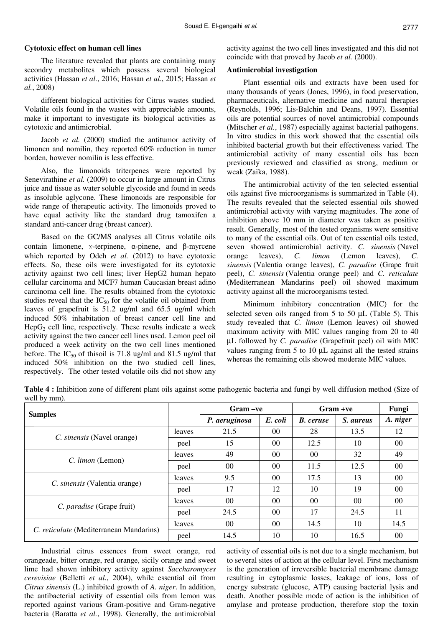#### **Cytotoxic effect on human cell lines**

The literature revealed that plants are containing many secondry metabolites which possess several biological activities (Hassan *et al.*, 2016; Hassan *et al.*, 2015; Hassan *et al.*, 2008)

different biological activities for Citrus wastes studied. Volatile oils found in the wastes with appreciable amounts, make it important to investigate its biological activities as cytotoxic and antimicrobial.

Jacob *et al.* (2000) studied the antitumor activity of limonen and nomilin, they reported 60% reduction in tumer borden, however nomilin is less effective.

Also, the limonoids triterpenes were reported by Senevirathine *et al.* (2009) to occur in large amount in Citrus juice and tissue as water soluble glycoside and found in seeds as insoluble aglycone. These limonoids are responsible for wide range of therapeutic activity. The limonoids proved to have equal activity like the standard drug tamoxifen a standard anti-cancer drug (breast cancer).

Based on the GC/MS analyses all Citrus volatile oils contain limonene, ɤ-terpinene, α-pinene, and β-myrcene which reported by Odeh *et al.* (2012) to have cytotoxic effects. So, these oils were investigated for its cytotoxic activity against two cell lines; liver HepG2 human hepato cellular carcinoma and MCF7 human Caucasian breast adino carcinoma cell line. The results obtained from the cytotoxic studies reveal that the  $IC_{50}$  for the volatile oil obtained from leaves of grapefruit is 51.2 ug/ml and 65.5 ug/ml which induced 50% inhabitation of breast cancer cell line and  $HepG<sub>2</sub>$  cell line, respectively. These results indicate a week activity against the two cancer cell lines used. Lemon peel oil produced a week activity on the two cell lines mentioned before. The  $IC_{50}$  of thisoil is 71.8 ug/ml and 81.5 ug/ml that induced 50% inhibition on the two studied cell lines, respectively. The other tested volatile oils did not show any

activity against the two cell lines investigated and this did not coincide with that proved by Jacob *et al.* (2000).

## **Antimicrobial investigation**

Plant essential oils and extracts have been used for many thousands of years (Jones, 1996), in food preservation, pharmaceuticals, alternative medicine and natural therapies (Reynolds, 1996; Lis-Balchin and Deans, 1997). Essential oils are potential sources of novel antimicrobial compounds (Mitscher *et al.*, 1987) especially against bacterial pathogens. In vitro studies in this work showed that the essential oils inhibited bacterial growth but their effectiveness varied. The antimicrobial activity of many essential oils has been previously reviewed and classified as strong, medium or weak (Zaika, 1988).

The antimicrobial activity of the ten selected essential oils against five microorganisms is summarized in Table (4). The results revealed that the selected essential oils showed antimicrobial activity with varying magnitudes. The zone of inhibition above 10 mm in diameter was taken as positive result. Generally, most of the tested organisms were sensitive to many of the essential oils. Out of ten essential oils tested, seven showed antimicrobial activity. *C. sinensis* (Navel orange leaves), *C. limon* (Lemon leaves), *C. sinensis* (Valentia orange leaves), *C. paradise* (Grape fruit peel), *C. sinensis* (Valentia orange peel) and *C. reticulate* (Mediterranean Mandarins peel) oil showed maximum activity against all the microorganisms tested.

Minimum inhibitory concentration (MIC) for the selected seven oils ranged from  $5$  to  $50 \mu L$  (Table 5). This study revealed that *C. limon* (Lemon leaves) oil showed maximum activity with MIC values ranging from 20 to 40 µL followed by *C. paradise* (Grapefruit peel) oil with MIC values ranging from 5 to 10 µL against all the tested strains whereas the remaining oils showed moderate MIC values.

**Table 4 :** Inhibition zone of different plant oils against some pathogenic bacteria and fungi by well diffusion method (Size of well by mm).

|                                         |        | Gram-ve       |                 | Gram +ve         | Fungi           |          |
|-----------------------------------------|--------|---------------|-----------------|------------------|-----------------|----------|
| <b>Samples</b>                          |        | P. aeruginosa | E. coli         | <b>B.</b> ceruse | S. aureus       | A. niger |
|                                         | leaves | 21.5          | $00\,$          | 28               | 13.5            | 12       |
| <i>C. sinensis</i> (Navel orange)       | peel   | 15            | $00\,$          | 12.5             | 10              | $00\,$   |
| C. limon (Lemon)                        | leaves | 49            | $00\,$          | $00\,$           | 32              | 49       |
|                                         | peel   | $00\,$        | $00\,$          | 11.5             | 12.5            | $00\,$   |
| C. sinensis (Valentia orange)           | leaves | 9.5           | 00 <sup>2</sup> | 17.5             | 13              | $00\,$   |
|                                         | peel   | 17            | 12              | 10               | 19              | 00       |
| C. paradise (Grape fruit)               | leaves | $00\,$        | 00 <sup>2</sup> | 00 <sup>2</sup>  | 00 <sup>2</sup> | $00\,$   |
|                                         | peel   | 24.5          | $00\,$          | 17               | 24.5            | 11       |
| C. reticulate (Mediterranean Mandarins) | leaves | $00\,$        | $00\,$          | 14.5             | 10              | 14.5     |
|                                         | peel   | 14.5          | 10              | 10               | 16.5            | $00\,$   |

Industrial citrus essences from sweet orange, red orangeade, bitter orange, red orange, sicily orange and sweet lime had shown inhibitory activity against *Saccharomyces cerevisiae* (Belletti *et al.*, 2004), while essential oil from *Citrus sinensis* (L.) inhibited growth of *A. niger*. In addition, the antibacterial activity of essential oils from lemon was reported against various Gram-positive and Gram-negative bacteria (Baratta *et al.*, 1998). Generally, the antimicrobial

activity of essential oils is not due to a single mechanism, but to several sites of action at the cellular level. First mechanism is the generation of irreversible bacterial membrane damage resulting in cytoplasmic losses, leakage of ions, loss of energy substrate (glucose, ATP) causing bacterial lysis and death. Another possible mode of action is the inhibition of amylase and protease production, therefore stop the toxin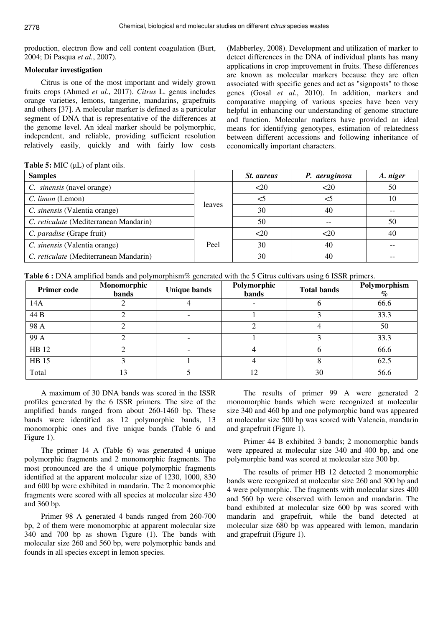production, electron flow and cell content coagulation (Burt, 2004; Di Pasqua *et al.*, 2007).

## **Molecular investigation**

Citrus is one of the most important and widely grown fruits crops (Ahmed *et al.*, 2017). *Citrus* L. genus includes orange varieties, lemons, tangerine, mandarins, grapefruits and others [37]. A molecular marker is defined as a particular segment of DNA that is representative of the differences at the genome level. An ideal marker should be polymorphic, independent, and reliable, providing sufficient resolution relatively easily, quickly and with fairly low costs

(Mabberley, 2008). Development and utilization of marker to detect differences in the DNA of individual plants has many applications in crop improvement in fruits. These differences are known as molecular markers because they are often associated with specific genes and act as "signposts" to those genes (Gosal *et al.*, 2010). In addition, markers and comparative mapping of various species have been very helpful in enhancing our understanding of genome structure and function. Molecular markers have provided an ideal means for identifying genotypes, estimation of relatedness between different accessions and following inheritance of economically important characters.

**Table 5:** MIC  $(\mu L)$  of plant oils.

| <b>Samples</b>                         |        | <i>St. aureus</i> | P. aeruginosa | A. niger |
|----------------------------------------|--------|-------------------|---------------|----------|
| C. sinensis (navel orange)             |        | $20$              | $<$ 20        | 50       |
| C. limon (Lemon)                       |        |                   | <5            | 10       |
| C. sinensis (Valentia orange)          | leaves | 30                | 40            |          |
| C. reticulate (Mediterranean Mandarin) |        | 50                |               | 50       |
| C. paradise (Grape fruit)              |        | $20$              | <20           | 40       |
| C. sinensis (Valentia orange)          | Peel   | 30                | 40            |          |
| C. reticulate (Mediterranean Mandarin) |        | 30                | 40            |          |

**Table 6 :** DNA amplified bands and polymorphism% generated with the 5 Citrus cultivars using 6 ISSR primers.

| <b>Primer code</b> | Monomorphic<br>bands | <b>Unique bands</b>      | Polymorphic<br><b>bands</b> | <b>Total bands</b> | Polymorphism<br>$\%$ |
|--------------------|----------------------|--------------------------|-----------------------------|--------------------|----------------------|
| 14A                |                      |                          |                             |                    | 66.6                 |
| 44 B               |                      | $\overline{\phantom{0}}$ |                             |                    | 33.3                 |
| 98 A               |                      |                          |                             |                    | 50                   |
| 99 A               |                      |                          |                             |                    | 33.3                 |
| HB 12              |                      |                          |                             | n                  | 66.6                 |
| <b>HB</b> 15       |                      |                          |                             |                    | 62.5                 |
| Total              | 13                   |                          | 12                          | 30                 | 56.6                 |

A maximum of 30 DNA bands was scored in the ISSR profiles generated by the 6 ISSR primers. The size of the amplified bands ranged from about 260-1460 bp. These bands were identified as 12 polymorphic bands, 13 monomorphic ones and five unique bands (Table 6 and Figure 1).

The primer 14 A (Table 6) was generated 4 unique polymorphic fragments and 2 monomorphic fragments. The most pronounced are the 4 unique polymorphic fragments identified at the apparent molecular size of 1230, 1000, 830 and 600 bp were exhibited in mandarin. The 2 monomorphic fragments were scored with all species at molecular size 430 and 360 bp.

Primer 98 A generated 4 bands ranged from 260-700 bp, 2 of them were monomorphic at apparent molecular size 340 and 700 bp as shown Figure (1). The bands with molecular size 260 and 560 bp, were polymorphic bands and founds in all species except in lemon species.

The results of primer 99 A were generated 2 monomorphic bands which were recognized at molecular size 340 and 460 bp and one polymorphic band was appeared at molecular size 500 bp was scored with Valencia, mandarin and grapefruit (Figure 1).

Primer 44 B exhibited 3 bands; 2 monomorphic bands were appeared at molecular size 340 and 400 bp, and one polymorphic band was scored at molecular size 300 bp.

The results of primer HB 12 detected 2 monomorphic bands were recognized at molecular size 260 and 300 bp and 4 were polymorphic. The fragments with molecular sizes 400 and 560 bp were observed with lemon and mandarin. The band exhibited at molecular size 600 bp was scored with mandarin and grapefruit, while the band detected at molecular size 680 bp was appeared with lemon, mandarin and grapefruit (Figure 1).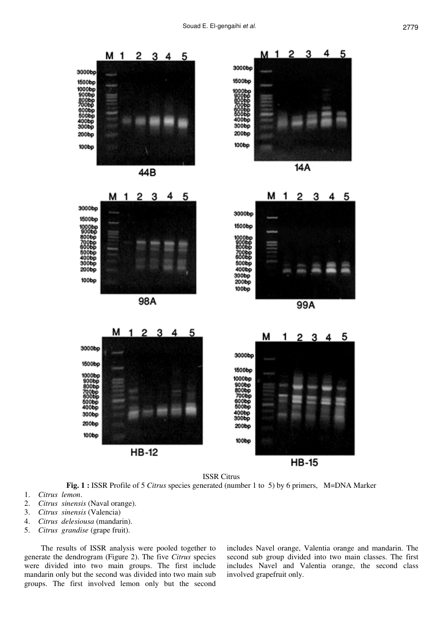

**HB-15** 

ISSR Citrus

**Fig. 1 :** ISSR Profile of 5 *Citrus* species generated (number 1 to 5) by 6 primers, M=DNA Marker

- 1. *Citrus lemon*.
- 2. *Citrus sinensis* (Naval orange).
- 3. *Citrus sinensis* (Valencia)
- 4. *Citrus delesiousa* (mandarin).
- 5. *Citrus grandise* (grape fruit).

The results of ISSR analysis were pooled together to generate the dendrogram (Figure 2). The five *Citrus* species were divided into two main groups. The first include mandarin only but the second was divided into two main sub groups. The first involved lemon only but the second

includes Navel orange, Valentia orange and mandarin. The second sub group divided into two main classes. The first includes Navel and Valentia orange, the second class involved grapefruit only.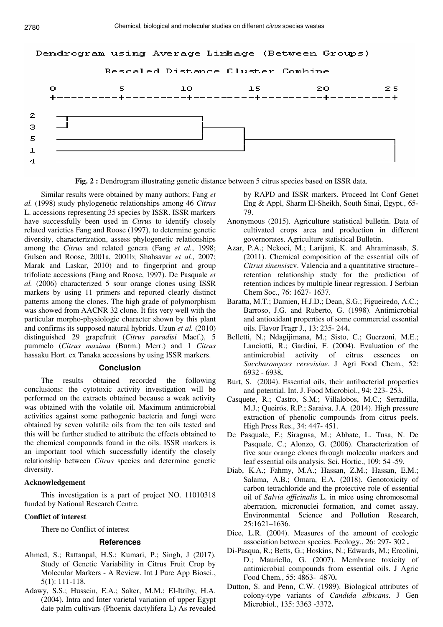

**Fig. 2 :** Dendrogram illustrating genetic distance between 5 citrus species based on ISSR data.

Similar results were obtained by many authors; Fang *et al.* (1998) study phylogenetic relationships among 46 *Citrus* L. accessions representing 35 species by ISSR. ISSR markers have successfully been used in *Citrus* to identify closely related varieties Fang and Roose (1997), to determine genetic diversity, characterization, assess phylogenetic relationships among the *Citrus* and related genera (Fang *et al.*, 1998; Gulsen and Roose, 2001a, 2001b; Shahsavar *et al.*, 2007; Marak and Laskar, 2010) and to fingerprint and group trifoliate accessions (Fang and Roose, 1997). De Pasquale *et al.* (2006) characterized 5 sour orange clones using ISSR markers by using 11 primers and reported clearly distinct patterns among the clones. The high grade of polymorphism was showed from AACNR 32 clone. It fits very well with the particular morpho-physiologic character shown by this plant and confirms its supposed natural hybrids. Uzun *et al.* (2010) distinguished 29 grapefruit (*Citrus paradisi* Macf.), 5 pummelo (*Citrus maxima* (Burm.) Merr.) and 1 *Citrus* hassaku Hort. ex Tanaka accessions by using ISSR markers.

#### **Conclusion**

The results obtained recorded the following conclusions: the cytotoxic activity investigation will be performed on the extracts obtained because a weak activity was obtained with the volatile oil. Maximum antimicrobial activities against some pathogenic bacteria and fungi were obtained by seven volatile oils from the ten oils tested and this will be further studied to attribute the effects obtained to the chemical compounds found in the oils. ISSR markers is an important tool which successfully identify the closely relationship between *Citrus* species and determine genetic diversity.

#### **Acknowledgement**

This investigation is a part of project NO. 11010318 funded by National Research Centre.

#### **Conflict of interest**

There no Conflict of interest

#### **References**

- Ahmed, S.; Rattanpal, H.S.; Kumari, P.; Singh, J (2017). Study of Genetic Variability in Citrus Fruit Crop by Molecular Markers - A Review. Int J Pure App Biosci., 5(1): 111-118.
- Adawy, S.S.; Hussein, E.A.; Saker, M.M.; El-Itriby, H.A. (2004). Intra and Inter varietal variation of upper Egypt date palm cultivars (Phoenix dactylifera L) As revealed

by RAPD and ISSR markers. Proceed Int Conf Genet Eng & Appl, Sharm El-Sheikh, South Sinai, Egypt., 65- 79.

- Anonymous (2015). Agriculture statistical bulletin. Data of cultivated crops area and production in different governorates. Agriculture statistical Bulletin.
- Azar, P.A.; Nekoei, M.; Larijani, K. and Ahraminasab, S. (2011). Chemical composition of the essential oils of *Citrus sinensis*cv. Valencia and a quantitative structure– retention relationship study for the prediction of retention indices by multiple linear regression. J Serbian Chem Soc., 76: 1627- 1637.
- Baratta, M.T.; Damien, H.J.D.; Dean, S.G.; Figueiredo, A.C.; Barroso, J.G. and Ruberto, G. (1998). Antimicrobial and antioxidant properties of some commercial essential oils. Flavor Fragr J., 13: 235- 244.
- Belletti, N.; Ndagijimana, M.; Sisto, C.; Guerzoni, M.E.; Lanciotti, R.; Gardini, F. (2004). Evaluation of the antimicrobial activity of citrus essences on *Saccharomyces cerevisiae*. J Agri Food Chem., 52: 6932 - 6938.
- Burt, S. (2004). Essential oils, their antibacterial properties and potential. Int. J. Food Microbiol., 94: 223- 253.
- Casquete, R.; Castro, S.M.; Villalobos, M.C.; Serradilla, M.J.; Queirós, R.P.; Saraiva, J.A. (2014). High pressure extraction of phenolic compounds from citrus peels. High Press Res., 34: 447- 451.
- De Pasquale, F.; Siragusa, M.; Abbate, L. Tusa, N. De Pasquale, C.; Alonzo, G. (2006). Characterization of five sour orange clones through molecular markers and leaf essential oils analysis. Sci. Hortic., 109: 54 -59.
- Diab, K.A.; Fahmy, M.A.; Hassan, Z.M.; Hassan, E.M.; Salama, A.B.; Omara, E.A. (2018). Genotoxicity of carbon tetrachloride and the protective role of essential oil of *Salvia officinalis* L. in mice using chromosomal aberration, micronuclei formation, and comet assay. Environmental Science and Pollution Research, 25:1621–1636.
- Dice, L.R. (2004). Measures of the amount of ecologic association between species. Ecology., 26: 297- 302 .
- Di-Pasqua, R.; Betts, G.; Hoskins, N.; Edwards, M.; Ercolini, D.; Mauriello, G. (2007). Membrane toxicity of antimicrobial compounds from essential oils. J Agric Food Chem., 55: 4863- 4870.
- Dutton, S. and Penn, C.W. (1989). Biological attributes of colony-type variants of *Candida albicans*. J Gen Microbiol., 135: 3363 -3372.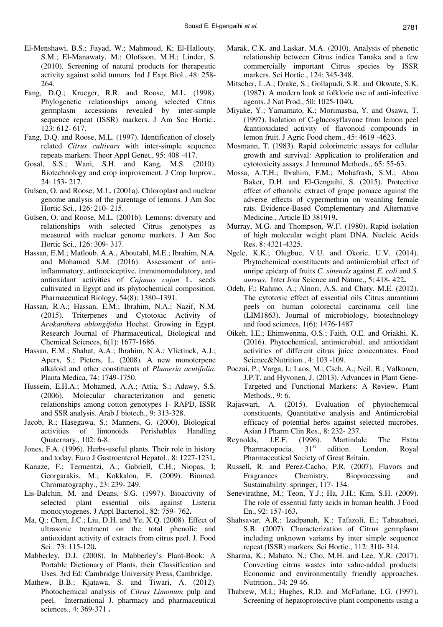- El-Menshawi, B.S.; Fayad, W.; Mahmoud, K; El-Hallouty, S.M.; El-Manawaty, M.; Olofsson, M.H.; Linder, S. (2010). Screening of natural products for therapeutic activity against solid tumors. Ind J Expt Biol., 48: 258- 264.
- Fang, D.Q.; Krueger, R.R. and Roose, M.L. (1998). Phylogenetic relationships among selected Citrus germplasm accessions revealed by inter-simple sequence repeat (ISSR) markers. J Am Soc Hortic., 123: 612- 617.
- Fang, D.Q. and Roose, M.L. (1997). Identification of closely related *Citrus cultivars* with inter-simple sequence repeats markers. Theor Appl Genet., 95: 408 -417.
- Gosal, S.S.; Wani, S.H. and Kang, M.S. (2010). Biotechnology and crop improvement. J Crop Improv., 24: 153- 217.
- Gulsen, O. and Roose, M.L. (2001a). Chloroplast and nuclear genome analysis of the parentage of lemons. J Am Soc Hortic Sci., 126: 210- 215.
- Gulsen, O. and Roose, M.L. (2001b). Lemons: diversity and relationships with selected Citrus genotypes as measured with nuclear genome markers. J Am Soc Hortic Sci., 126: 309- 317.
- Hassan, E.M.; Matloub, A.A., Aboutabl, M.E.; Ibrahim, N.A. and Mohamed S.M. (2016). Assessment of antiinflammatory, antinociceptive, immunomodulatory, and antioxidant activities of *Cajanus cajan* L. seeds cultivated in Egypt and its phytochemical composition. Pharmaceutical Biology, 54(8): 1380–1391.
- Hassan, R.A.; Hassan, E.M.; Ibrahim, N.A.; Nazif, N.M. (2015). Triterpenes and Cytotoxic Activity of *Acokanthera oblongifolia* Hochst. Growing in Egypt. Research Journal of Pharmaceutical, Biological and Chemical Sciences, 6(1): 1677-1686.
- Hassan, E.M.; Shahat, A.A.; Ibrahim, N.A.; Vlietinck, A.J.; Apers, S.; Pieters, L. (2008). A new monoterpene alkaloid and other constituents of *Plumeria acutifolia*. Planta Medica, 74: 1749-1750.
- Hussein, E.H.A.; Mohamed, A.A.; Attia, S.; Adawy, S.S. (2006). Molecular characterization and genetic relationships among cotton genotypes 1- RAPD, ISSR and SSR analysis. Arab J biotech., 9: 313-328.
- Jacob, R.; Hasegawa, S.; Manners, G. (2000). Biological activities of limonoids. Perishables Handling Quaternary., 102: 6-8.
- Jones, F.A. (1996). Herbs-useful plants. Their role in history and today. Euro J Gastroenterol Hepatol., 8: 1227-1231.
- Kanaze, F.; Termentzi, A.; Gabriell, C.H.; Niopas, I; Georgarakis, M.; Kokkalou, E. (2009). Biomed. Chromatography., 23: 239- 249.
- Lis-Balchin, M. and Deans, S.G. (1997). Bioactivity of selected plant essential oils against Listeria monocytogenes. J Appl Bacteriol., 82: 759- 762.
- Ma, Q.; Chen, J.C.; Liu, D.H. and Ye, X.Q. (2008). Effect of ultrasonic treatment on the total phenolic and antioxidant activity of extracts from citrus peel. J. Food Sci., 73: 115-120.
- Mabberley, D.J. (2008). In Mabberley's Plant-Book: A Portable Dictionary of Plants, their Classification and Uses. 3rd Ed: Cambridge University Press, Cambridge.
- Mathew, B.B.; Kjatawa, S. and Tiwari, A. (2012). Photochemical analysis of *Citrus Limonum* pulp and peel. International J. pharmacy and pharmaceutical sciences., 4: 369-371 .
- Marak, C.K. and Laskar, M.A. (2010). Analysis of phenetic relationship between Citrus indica Tanaka and a few commercially important Citrus species by ISSR markers. Sci Hortic., 124: 345-348.
- Mitscher, L.A.; Drake, S.; Gollapudi, S.R. and Okwute, S.K. (1987). A modern look at folkloric use of anti-infective agents. J Nat Prod., 50: 1025-1040.
- Miyake, Y.; Yamamato, K.; Morimastsa, Y. and Osawa, T. (1997). Isolation of C-glucosyflavone from lemon peel &antioxidated activity of flavonoid compounds in lemon fruit. J Agric Food chem., 45: 4619 -4623.
- Mosmann, T. (1983). Rapid colorimetric assays for cellular growth and survival: Application to proliferation and cytotoxicity assays. J Immunol Methods., 65: 55-63.
- Mossa, A.T.H.; Ibrahim, F.M.; Mohafrash, S.M.; Abou Baker, D.H. and El-Gengaihi, S. (2015). Protective effect of ethanolic extract of grape pomace against the adverse effects of cypermethrin on weanling female rats. Evidence-Based Complementary and Alternative Medicine., Article ID 381919.
- Murray, M.G. and Thompson, W.F. (1980). Rapid isolation of high molecular weight plant DNA. Nucleic Acids Res. 8: 4321-4325.
- Ngele, K.K.; Olugbue, V.U. and Okorie, U.V. (2014). Phytochemical constituents and antimicrobial effect of unripe epicarp of fruits *C. sinensis* against *E. coli* and *S. aureus.* Inter Jour Science and Nature., 5: 418- 422.
- Odeh, F.; Rahmo, A.; Alnori, A.S. and Chaty, M.E. (2012). The cytotoxic effect of essential oils Citrus aurantium peels on human colorectal carcinoma cell line (LIM1863). Journal of microbiology, biotechnology and food sciences, 1(6): 1476-1487
- Oikeh, I.E.; Ehimwenma, O.S.; Faith, O.E. and Oriakhi, K. (2016). Phytochemical, antimicrobial, and antioxidant activities of different citrus juice concentrates. Food Science&Nutrition., 4: 103 -109.
- Poczai, P.; Varga, I.; Laos, M.; Cseh, A.; Neil, B.; Valkonen, J.P.T. and Hyvonen, J. (2013). Advances in Plant Gene-Targeted and Functional Markers: A Review, Plant Methods., 9: 6.
- Rajaswari, A. (2015). Evaluation of phytochemical constituents, Quantitative analysis and Antimicrobial efficacy of potential herbs against selected microbes. Asian J Pharm Clin Res., 8: 232- 237.
- Reynolds, J.E.F. (1996). Martindale The Extra<br>Pharmacopoeia. 31<sup>st</sup> edition. London. Royal Pharmacopoeia.  $31<sup>st</sup>$  edition. London. Royal Pharmaceutical Society of Great Britain.
- Russell, R. and Perez-Cacho, P.R. (2007). Flavors and Fragrances Chemistry, Bioprocessing and Sustainability. springer, 117- 134.
- Senevirathne, M.; Teon, Y.J.; Ha, J.H.; Kim, S.H. (2009). The role of essential fatty acids in human health. J Food En., 92: 157-163.
- Shahsavar, A.R.; Izadpanah, K.; Tafazoli, E.; Tabatabaei, S.B. (2007). Characterization of Citrus germplasm including unknown variants by inter simple sequence repeat (ISSR) markers. Sci Hortic., 112: 310- 314.
- Sharma, K.; Mahato, N.; Cho, M.H. and Lee, Y.R. (2017). Converting citrus wastes into value-added products: Economic and environmentally friendly approaches. Nutrition., 34: 29 46.
- Thabrew, M.I.; Hughes, R.D. and McFarlane, I.G. (1997). Screening of hepatoprotective plant components using a